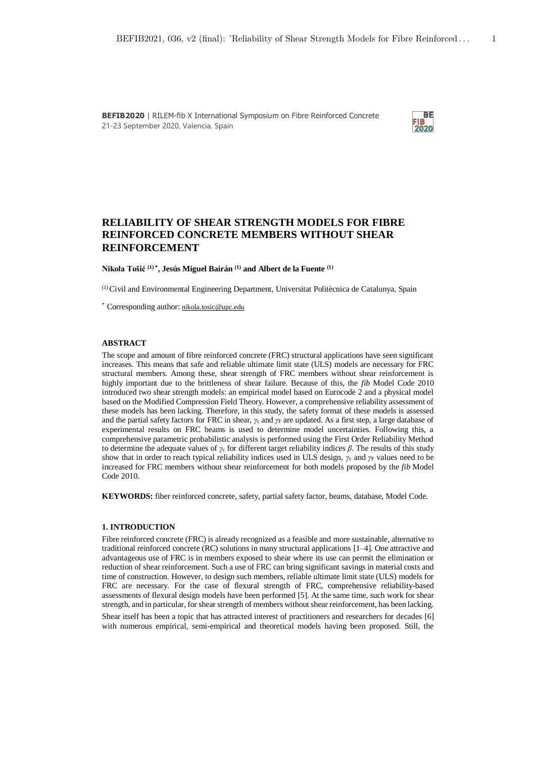

# **RELIABILITY OF SHEAR STRENGTH MODELS FOR FIBRE REINFORCED CONCRETE MEMBERS WITHOUT SHEAR REINFORCEMENT**

**Nikola Tošić (1) \* , Jesús Miguel Bairán (1) and Albert de la Fuente (1)**

(1) Civil and Environmental Engineering Department, Universitat Politècnica de Catalunya, Spain

\* Corresponding author: nikola.tosic@upc.edu

### **ABSTRACT**

The scope and amount of fibre reinforced concrete (FRC) structural applications have seen significant increases. This means that safe and reliable ultimate limit state (ULS) models are necessary for FRC structural members. Among these, shear strength of FRC members without shear reinforcement is highly important due to the brittleness of shear failure. Because of this, the *fib* Model Code 2010 introduced two shear strength models: an empirical model based on Eurocode 2 and a physical model based on the Modified Compression Field Theory. However, a comprehensive reliability assessment of these models has been lacking. Therefore, in this study, the safety format of these models is assessed and the partial safety factors for FRC in shear, *Ȗ*c and *Ȗ*<sup>F</sup> are updated. As a first step, a large database of experimental results on FRC beams is used to determine model uncertainties. Following this, a comprehensive parametric probabilistic analysis is performed using the First Order Reliability Method to determine the adequate values of  $\gamma_c$  for different target reliability indices  $\beta$ . The results of this study show that in order to reach typical reliability indices used in ULS design,  $\gamma_c$  and  $\gamma_F$  values need to be increased for FRC members without shear reinforcement for both models proposed by the *fib* Model Code 2010.

**KEYWORDS:** fiber reinforced concrete, safety, partial safety factor, beams, database, Model Code.

## **1. INTRODUCTION**

Fibre reinforced concrete (FRC) is already recognized as a feasible and more sustainable, alternative to traditional reinforced concrete (RC) solutions in many structural applications [1–4]. One attractive and advantageous use of FRC is in members exposed to shear where its use can permit the elimination or reduction of shear reinforcement. Such a use of FRC can bring significant savings in material costs and time of construction. However, to design such members, reliable ultimate limit state (ULS) models for FRC are necessary. For the case of flexural strength of FRC, comprehensive reliability-based assessments of flexural design models have been performed [5]. At the same time, such work for shear strength, and in particular, for shear strength of members without shear reinforcement, has been lacking. Shear itself has been a topic that has attracted interest of practitioners and researchers for decades [6] with numerous empirical, semi-empirical and theoretical models having been proposed. Still, the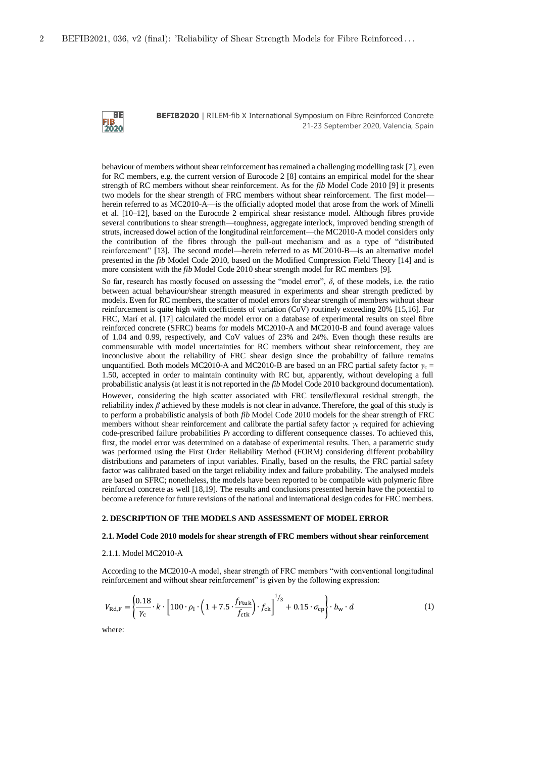

behaviour of members without shear reinforcement has remained a challenging modelling task [7], even for RC members, e.g. the current version of Eurocode 2 [8] contains an empirical model for the shear strength of RC members without shear reinforcement. As for the *fib* Model Code 2010 [9] it presents two models for the shear strength of FRC members without shear reinforcement. The first model herein referred to as MC2010-A—is the officially adopted model that arose from the work of Minelli et al. [10–12], based on the Eurocode 2 empirical shear resistance model. Although fibres provide several contributions to shear strength—toughness, aggregate interlock, improved bending strength of struts, increased dowel action of the longitudinal reinforcement—the MC2010-A model considers only the contribution of the fibres through the pull-out mechanism and as a type of "distributed reinforcement" [13]. The second model—herein referred to as MC2010-B—is an alternative model presented in the *fib* Model Code 2010, based on the Modified Compression Field Theory [14] and is more consistent with the *fib* Model Code 2010 shear strength model for RC members [9].

So far, research has mostly focused on assessing the "model error",  $\delta$ , of these models, i.e. the ratio between actual behaviour/shear strength measured in experiments and shear strength predicted by models. Even for RC members, the scatter of model errors for shear strength of members without shear reinforcement is quite high with coefficients of variation (CoV) routinely exceeding 20% [15,16]. For FRC, Marí et al. [17] calculated the model error on a database of experimental results on steel fibre reinforced concrete (SFRC) beams for models MC2010-A and MC2010-B and found average values of 1.04 and 0.99, respectively, and CoV values of 23% and 24%. Even though these results are commensurable with model uncertainties for RC members without shear reinforcement, they are inconclusive about the reliability of FRC shear design since the probability of failure remains unquantified. Both models MC2010-A and MC2010-B are based on an FRC partial safety factor  $\gamma_c =$ 1.50, accepted in order to maintain continuity with RC but, apparently, without developing a full probabilistic analysis (at least it is not reported in the *fib* Model Code 2010 background documentation).

However, considering the high scatter associated with FRC tensile/flexural residual strength, the reliability index  $\beta$  achieved by these models is not clear in advance. Therefore, the goal of this study is to perform a probabilistic analysis of both *fib* Model Code 2010 models for the shear strength of FRC members without shear reinforcement and calibrate the partial safety factor  $\gamma_c$  required for achieving code-prescribed failure probabilities *P*f according to different consequence classes. To achieved this, first, the model error was determined on a database of experimental results. Then, a parametric study was performed using the First Order Reliability Method (FORM) considering different probability distributions and parameters of input variables. Finally, based on the results, the FRC partial safety factor was calibrated based on the target reliability index and failure probability. The analysed models are based on SFRC; nonetheless, the models have been reported to be compatible with polymeric fibre reinforced concrete as well [18,19]. The results and conclusions presented herein have the potential to become a reference for future revisions of the national and international design codes for FRC members.

### **2. DESCRIPTION OF THE MODELS AND ASSESSMENT OF MODEL ERROR**

### **2.1. Model Code 2010 models for shear strength of FRC members without shear reinforcement**

### 2.1.1. Model MC2010-A

According to the MC2010-A model, shear strength of FRC members "with conventional longitudinal reinforcement and without shear reinforcement" is given by the following expression:

$$
V_{\text{Rd},\text{F}} = \left\{ \frac{0.18}{\gamma_{\text{c}}} \cdot k \cdot \left[ 100 \cdot \rho_{\text{l}} \cdot \left( 1 + 7.5 \cdot \frac{f_{\text{Ftuk}}}{f_{\text{ctk}}} \right) \cdot f_{\text{ck}} \right]^{1/3} + 0.15 \cdot \sigma_{\text{cp}} \right\} \cdot b_{\text{w}} \cdot d \tag{1}
$$

where: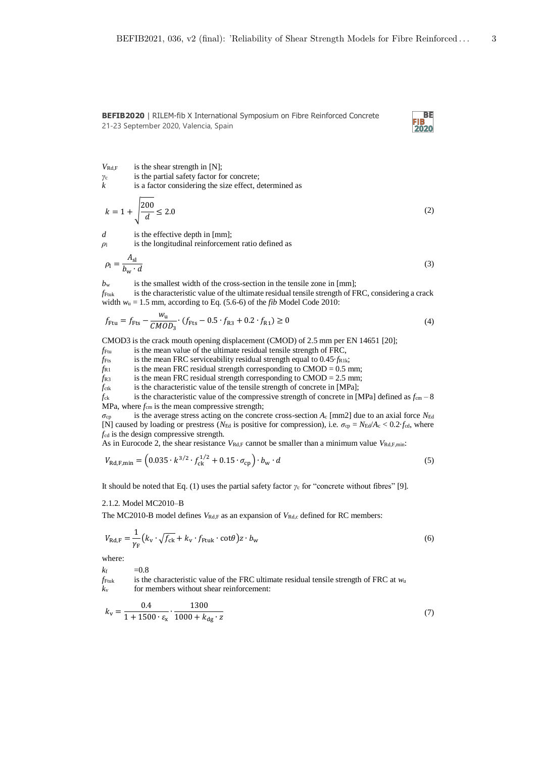

 $V_{\text{Rd},F}$  is the shear strength in [N];

- *Ȗ*c is the partial safety factor for concrete;
- *k* is a factor considering the size effect, determined as

$$
k = 1 + \sqrt{\frac{200}{d}} \le 2.0
$$
 (2)

*d* is the effective depth in [mm];

*ρ*l is the longitudinal reinforcement ratio defined as

$$
\rho_1 = \frac{A_{\rm sl}}{b_{\rm w} \cdot d} \tag{3}
$$

 $b_w$  is the smallest width of the cross-section in the tensile zone in [mm];

 $f_{Funk}$  is the characteristic value of the ultimate residual tensile strength of FRC, considering a crack width  $w_u = 1.5$  mm, according to Eq. (5.6-6) of the *fib* Model Code 2010:

$$
f_{\text{Ftu}} = f_{\text{Fts}} - \frac{w_{\text{u}}}{CMOD_3} \cdot (f_{\text{Fts}} - 0.5 \cdot f_{\text{R3}} + 0.2 \cdot f_{\text{R1}}) \ge 0
$$
\n(4)

CMOD3 is the crack mouth opening displacement (CMOD) of 2.5 mm per EN 14651 [20];

- *f*Ftu is the mean value of the ultimate residual tensile strength of FRC,
- $f_{\text{Fts}}$  is the mean FRC serviceability residual strength equal to 0.45 $\cdot$ *f*R1k;

 $f_{R1}$  is the mean FRC residual strength corresponding to CMOD = 0.5 mm;

 $f_{R3}$  is the mean FRC residual strength corresponding to CMOD = 2.5 mm;

*f*<sub>ctk</sub> is the characteristic value of the tensile strength of concrete in [MPa];

 $f_{ck}$  is the characteristic value of the compressive strength of concrete in [MPa] defined as  $f_{cm} - 8$ MPa, where  $f_{cm}$  is the mean compressive strength;

*σ*cp is the average stress acting on the concrete cross-section *A*c [mm2] due to an axial force *N*Ed [N] caused by loading or prestress ( $N_{\text{Ed}}$  is positive for compression), i.e.  $\sigma_{\text{cp}} = N_{\text{Ed}}/A_{\text{c}} < 0.2$ *·f<sub>cd</sub>*, where *f*cd is the design compressive strength.

As in Eurocode 2, the shear resistance *VRd*,F cannot be smaller than a minimum value *VRd*,F,min:

$$
V_{\text{Rd,F,min}} = \left(0.035 \cdot k^{3/2} \cdot f_{\text{ck}}^{1/2} + 0.15 \cdot \sigma_{\text{cp}}\right) \cdot b_{\text{w}} \cdot d \tag{5}
$$

It should be noted that Eq. (1) uses the partial safety factor  $\gamma_c$  for "concrete without fibres" [9].

### 2.1.2. Model MC2010–B

The MC2010-B model defines  $V_{\text{Rd},F}$  as an expansion of  $V_{\text{Rd},c}$  defined for RC members:

$$
V_{\text{Rd},\text{F}} = \frac{1}{\gamma_{\text{F}}} \left( k_{\text{v}} \cdot \sqrt{f_{\text{ck}}} + k_{\text{v}} \cdot f_{\text{Ftuk}} \cdot \cot \theta \right) z \cdot b_{\text{w}}
$$
(6)

where:

 $k_f$  =0.8

 $f_{\text{Fuk}}$  is the characteristic value of the FRC ultimate residual tensile strength of FRC at  $w_u$ *k*v for members without shear reinforcement:

$$
k_{\rm v} = \frac{0.4}{1 + 1500 \cdot \varepsilon_{\rm x}} \cdot \frac{1300}{1000 + k_{\rm dg} \cdot z} \tag{7}
$$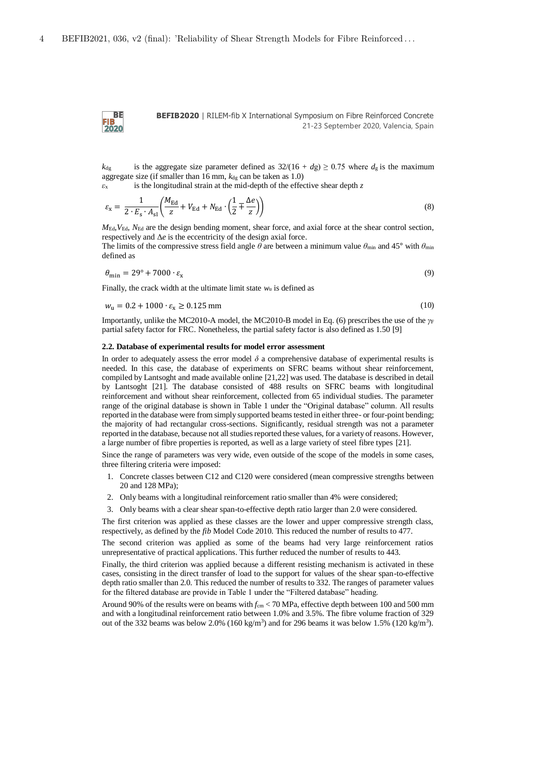**BE FIB**<br>2020

**BEFIB2020** | RILEM-fib X International Symposium on Fibre Reinforced Concrete 21-23 September 2020, Valencia, Spain

*k*<sub>dg</sub> is the aggregate size parameter defined as  $32/(16 + dg) \ge 0.75$  where  $d_g$  is the maximum aggregate size (if smaller than  $16$  mm,  $k_{\text{dg}}$  can be taken as  $1.0$ )

 $\epsilon_{x}$  is the longitudinal strain at the mid-depth of the effective shear depth  $z$ 

$$
\varepsilon_{\rm x} = \frac{1}{2 \cdot E_{\rm s} \cdot A_{\rm sl}} \bigg( \frac{M_{\rm Ed}}{z} + V_{\rm Ed} + N_{\rm Ed} \cdot \bigg( \frac{1}{2} \mp \frac{\Delta e}{z} \bigg) \bigg) \tag{8}
$$

 $M_{\text{Ed}}$ ,  $V_{\text{Ed}}$ ,  $N_{\text{Ed}}$  are the design bending moment, shear force, and axial force at the shear control section, respectively and  $\Delta e$  is the eccentricity of the design axial force.

The limits of the compressive stress field angle  $\theta$  are between a minimum value  $\theta_{\text{min}}$  and 45° with  $\theta_{\text{min}}$ defined as

$$
\theta_{\min} = 29^{\circ} + 7000 \cdot \varepsilon_{\mathbf{x}} \tag{9}
$$

Finally, the crack width at the ultimate limit state *w*u is defined as

$$
w_{\rm u} = 0.2 + 1000 \cdot \varepsilon_{\rm x} \ge 0.125 \text{ mm} \tag{10}
$$

Importantly, unlike the MC2010-A model, the MC2010-B model in Eq. (6) prescribes the use of the  $\gamma$ *F* partial safety factor for FRC. Nonetheless, the partial safety factor is also defined as 1.50 [9]

#### **2.2. Database of experimental results for model error assessment**

In order to adequately assess the error model  $\delta$  a comprehensive database of experimental results is needed. In this case, the database of experiments on SFRC beams without shear reinforcement, compiled by Lantsoght and made available online [21,22] was used. The database is described in detail by Lantsoght [21]. The database consisted of 488 results on SFRC beams with longitudinal reinforcement and without shear reinforcement, collected from 65 individual studies. The parameter range of the original database is shown in Table 1 under the "Original database" column. All results reported in the database were from simply supported beams tested in either three- or four-point bending; the majority of had rectangular cross-sections. Significantly, residual strength was not a parameter reported in the database, because not all studies reported these values, for a variety of reasons. However, a large number of fibre properties is reported, as well as a large variety of steel fibre types [21].

Since the range of parameters was very wide, even outside of the scope of the models in some cases, three filtering criteria were imposed:

- 1. Concrete classes between C12 and C120 were considered (mean compressive strengths between 20 and 128 MPa);
- 2. Only beams with a longitudinal reinforcement ratio smaller than 4% were considered;
- 3. Only beams with a clear shear span-to-effective depth ratio larger than 2.0 were considered.

The first criterion was applied as these classes are the lower and upper compressive strength class, respectively, as defined by the *fib* Model Code 2010. This reduced the number of results to 477.

The second criterion was applied as some of the beams had very large reinforcement ratios unrepresentative of practical applications. This further reduced the number of results to 443.

Finally, the third criterion was applied because a different resisting mechanism is activated in these cases, consisting in the direct transfer of load to the support for values of the shear span-to-effective depth ratio smaller than 2.0. This reduced the number of results to 332. The ranges of parameter values for the filtered database are provide in Table 1 under the "Filtered database" heading.

Around 90% of the results were on beams with  $f_{cm}$  < 70 MPa, effective depth between 100 and 500 mm and with a longitudinal reinforcement ratio between 1.0% and 3.5%. The fibre volume fraction of 329 out of the 332 beams was below 2.0%  $(160 \text{ kg/m}^3)$  and for 296 beams it was below 1.5%  $(120 \text{ kg/m}^3)$ .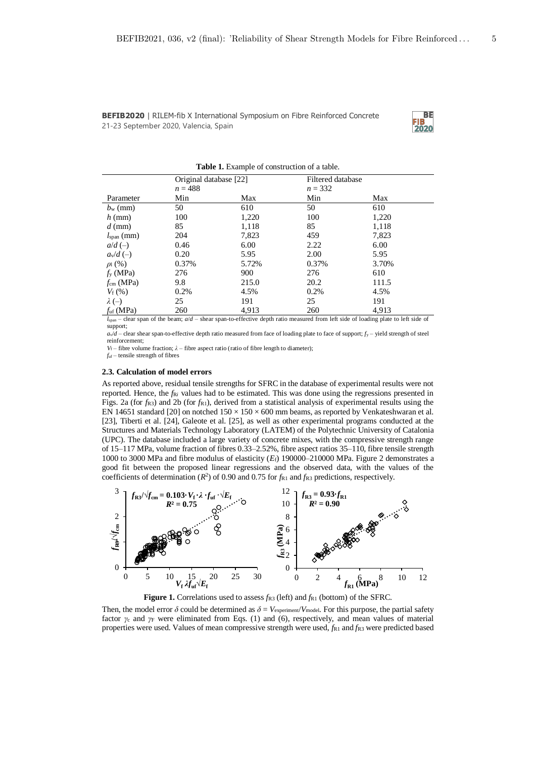

|                       | Original database [22] |       | Filtered database |       |  |
|-----------------------|------------------------|-------|-------------------|-------|--|
|                       | $n = 488$              |       | $n = 332$         |       |  |
| Parameter             | Min                    | Max   | Min               | Max   |  |
| $b_{\rm w}$ (mm)      | 50                     | 610   | 50                | 610   |  |
| $h$ (mm)              | 100                    | 1,220 | 100               | 1,220 |  |
| $d$ (mm)              | 85                     | 1,118 | 85                | 1,118 |  |
| $lspan$ (mm)          | 204                    | 7,823 | 459               | 7,823 |  |
| $a/d$ (-)             | 0.46                   | 6.00  | 2.22              | 6.00  |  |
| $a_v/d$ (-)           | 0.20                   | 5.95  | 2.00              | 5.95  |  |
| $\rho_1$ (%)          | 0.37%                  | 5.72% | 0.37%             | 3.70% |  |
| $f_{y}$ (MPa)         | 276                    | 900   | 276               | 610   |  |
| $f_{\rm cm}$ (MPa)    | 9.8                    | 215.0 | 20.2              | 111.5 |  |
| $V_{\rm f}$ (%)       | 0.2%                   | 4.5%  | 0.2%              | 4.5%  |  |
| $\lambda$ (-)         | 25                     | 191   | 25                | 191   |  |
| $f_{\text{uf}}$ (MPa) | 260                    | 4.913 | 260               | 4.913 |  |

**Table 1.** Example of construction of a table.

*l*span – clear span of the beam; *a*/*d* – shear span-to-effective depth ratio measured from left side of loading plate to left side of support;

 $a\sqrt{d}$  – clear shear span-to-effective depth ratio measured from face of loading plate to face of support; *fy* – yield strength of steel reinforcement;

*V*<sub>f</sub> – fibre volume fraction;  $\lambda$  – fibre aspect ratio (ratio of fibre length to diameter); *f*uf – tensile strength of fibres

**2.3. Calculation of model errors** 

As reported above, residual tensile strengths for SFRC in the database of experimental results were not reported. Hence, the  $f_{\rm R}i$  values had to be estimated. This was done using the regressions presented in Figs. 2a (for  $f_{R3}$ ) and 2b (for  $f_{R1}$ ), derived from a statistical analysis of experimental results using the EN 14651 standard [20] on notched  $150 \times 150 \times 600$  mm beams, as reported by Venkateshwaran et al. [23], Tiberti et al. [24], Galeote et al. [25], as well as other experimental programs conducted at the Structures and Materials Technology Laboratory (LATEM) of the Polytechnic University of Catalonia (UPC). The database included a large variety of concrete mixes, with the compressive strength range of 15–117 MPa, volume fraction of fibres 0.33–2.52%, fibre aspect ratios 35–110, fibre tensile strength 1000 to 3000 MPa and fibre modulus of elasticity (*E*f) 190000–210000 MPa. Figure 2 demonstrates a good fit between the proposed linear regressions and the observed data, with the values of the coefficients of determination ( $R^2$ ) of 0.90 and 0.75 for  $f_{R1}$  and  $f_{R3}$  predictions, respectively.



**Figure 1.** Correlations used to assess  $f_{R3}$  (left) and  $f_{R1}$  (bottom) of the SFRC.

Then, the model error  $\delta$  could be determined as  $\delta = V_{\text{experiment}}/V_{\text{model}}$ . For this purpose, the partial safety factor  $\gamma_c$  and  $\gamma_F$  were eliminated from Eqs. (1) and (6), respectively, and mean values of material properties were used. Values of mean compressive strength were used,  $f_{R1}$  and  $f_{R3}$  were predicted based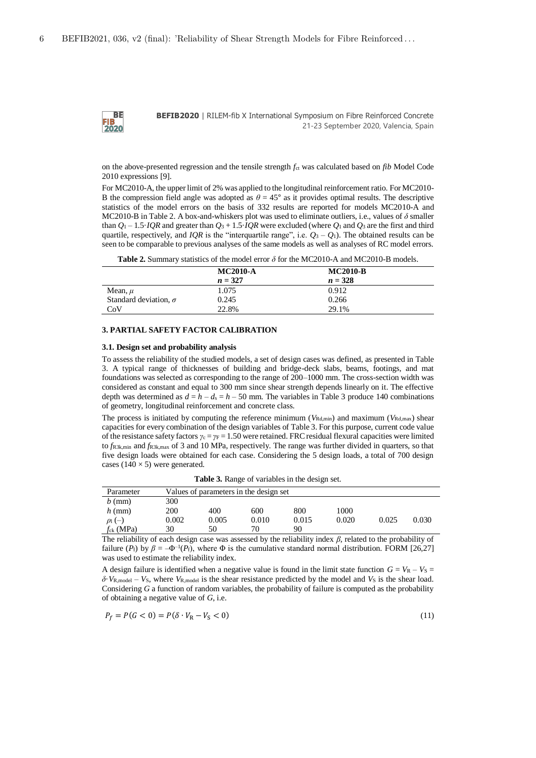**BE FIB**<br>2020

**BEFIB2020** | RILEM-fib X International Symposium on Fibre Reinforced Concrete 21-23 September 2020, Valencia, Spain

on the above-presented regression and the tensile strength *f*ct was calculated based on *fib* Model Code 2010 expressions [9].

For MC2010-A, the upper limit of 2% was applied to the longitudinal reinforcement ratio. For MC2010- B the compression field angle was adopted as  $\theta = 45^{\circ}$  as it provides optimal results. The descriptive statistics of the model errors on the basis of 332 results are reported for models MC2010-A and MC2010-B in Table 2. A box-and-whiskers plot was used to eliminate outliers, i.e., values of  $\delta$  smaller than  $Q_1 - 1.5 \cdot IQR$  and greater than  $Q_3 + 1.5 \cdot IQR$  were excluded (where  $Q_1$  and  $Q_3$  are the first and third quartile, respectively, and *IOR* is the "interquartile range", i.e.  $O_3 - O_1$ ). The obtained results can be seen to be comparable to previous analyses of the same models as well as analyses of RC model errors.

Table 2. Summary statistics of the model error  $\delta$  for the MC2010-A and MC2010-B models.

|                              | <b>MC2010-A</b> | <b>MC2010-B</b> |  |
|------------------------------|-----------------|-----------------|--|
|                              | $n = 327$       | $n = 328$       |  |
| Mean, $\mu$                  | 1.075           | 0.912           |  |
| Standard deviation, $\sigma$ | 0.245           | 0.266           |  |
| CoV                          | 22.8%           | 29.1%           |  |

### **3. PARTIAL SAFETY FACTOR CALIBRATION**

### **3.1. Design set and probability analysis**

To assess the reliability of the studied models, a set of design cases was defined, as presented in Table 3. A typical range of thicknesses of building and bridge-deck slabs, beams, footings, and mat foundations was selected as corresponding to the range of 200–1000 mm. The cross-section width was considered as constant and equal to 300 mm since shear strength depends linearly on it. The effective depth was determined as  $d = h - d_s = h - 50$  mm. The variables in Table 3 produce 140 combinations of geometry, longitudinal reinforcement and concrete class.

The process is initiated by computing the reference minimum ( $V_{\text{Rd,min}}$ ) and maximum ( $V_{\text{Rd,max}}$ ) shear capacities for every combination of the design variables of Table 3. For this purpose, current code value of the resistance safety factors  $\gamma_c = \gamma_F = 1.50$  were retained. FRC residual flexural capacities were limited to *f*R3k,min and *f*R3k,max of 3 and 10 MPa, respectively. The range was further divided in quarters, so that five design loads were obtained for each case. Considering the 5 design loads, a total of 700 design cases ( $140 \times 5$ ) were generated.

**Table 3.** Range of variables in the design set.

| Parameter                 |       | Values of parameters in the design set |       |       |       |       |       |
|---------------------------|-------|----------------------------------------|-------|-------|-------|-------|-------|
| $b$ (mm)                  | 300   |                                        |       |       |       |       |       |
| $h$ (mm)                  | 200   | 400                                    | 600   | 800   | 1000  |       |       |
| $\rho$ <sub>1</sub> $(-)$ | 0.002 | 0.005                                  | 0.010 | 0.015 | 0.020 | 0.025 | 0.030 |
| $f_{ck}$ (MPa)            | 30    | 50                                     | 70    | 90    |       |       |       |

The reliability of each design case was assessed by the reliability index  $\beta$ , related to the probability of failure  $(P_f)$  by  $\beta = -\Phi^{-1}(P_f)$ , where  $\Phi$  is the cumulative standard normal distribution. FORM [26,27] was used to estimate the reliability index.

A design failure is identified when a negative value is found in the limit state function  $G = V_R - V_S =$  $\delta$ ·*V*<sub>R,model</sub> – *V*<sub>S</sub>, where *V*<sub>R,model</sub> is the shear resistance predicted by the model and *V*<sub>S</sub> is the shear load. Considering *G* a function of random variables, the probability of failure is computed as the probability of obtaining a negative value of *G*, i.e.

$$
P_f = P(G < 0) = P(\delta \cdot V_R - V_S < 0) \tag{11}
$$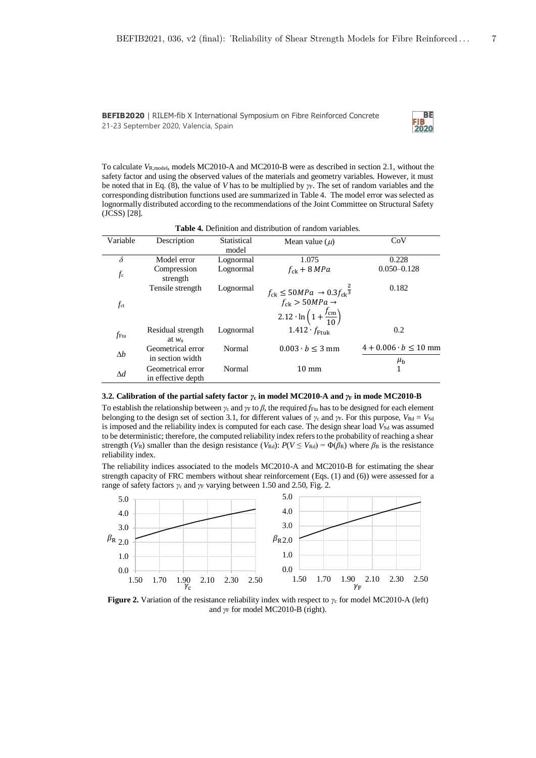

To calculate *V*R,model, models MC2010-A and MC2010-B were as described in section 2.1, without the safety factor and using the observed values of the materials and geometry variables. However, it must be noted that in Eq. (8), the value of *V* has to be multiplied by  $\gamma$ F. The set of random variables and the corresponding distribution functions used are summarized in Table 4. The model error was selected as lognormally distributed according to the recommendations of the Joint Committee on Structural Safety (JCSS) [28].

**Table 4.** Definition and distribution of random variables.

| Variable     | Description                             | Statistical<br>model | Mean value $(\mu)$                                                                                                                                      | CoV                                            |
|--------------|-----------------------------------------|----------------------|---------------------------------------------------------------------------------------------------------------------------------------------------------|------------------------------------------------|
| $\delta$     | Model error                             | Lognormal            | 1.075                                                                                                                                                   | 0.228                                          |
| $f_c$        | Compression<br>strength                 | Lognormal            | $f_{\rm ch}$ + 8 MPa                                                                                                                                    | $0.050 - 0.128$                                |
| $f_{\rm ct}$ | Tensile strength                        | Lognormal            | $f_{ck} \leq 50 MPa \rightarrow 0.3 f_{ck} \overline{3}$<br>$f_{ck} > 50 MPa \rightarrow$<br>$2.12 \cdot \ln \left(1 + \frac{f_{\text{cm}}}{10}\right)$ | 0.182                                          |
| fFtu         | Residual strength<br>at $w_{\rm n}$     | Lognormal            | $1.412 \cdot f_{Ftuk}$                                                                                                                                  | 0.2                                            |
| $\Delta b$   | Geometrical error<br>in section width   | Normal               | $0.003 \cdot b \leq 3 \,\text{mm}$                                                                                                                      | $4 + 0.006 \cdot b \le 10$ mm<br>$\mu_{\rm b}$ |
| $\Delta d$   | Geometrical error<br>in effective depth | Normal               | $10 \text{ mm}$                                                                                                                                         | 1                                              |

#### **3.2. Calibration of the partial safety factor** *γ***c in model MC2010-A and** *γ***F in mode MC2010-B**

To establish the relationship between  $\gamma_c$  and  $\gamma_F$  to  $\beta$ , the required  $f_{Fu}$  has to be designed for each element belonging to the design set of section 3.1, for different values of  $\gamma_c$  and  $\gamma_F$ . For this purpose,  $V_{\text{Rd}} = V_{\text{Sd}}$ is imposed and the reliability index is computed for each case. The design shear load  $V_{\rm Sd}$  was assumed to be deterministic; therefore, the computed reliability index refers to the probability of reaching a shear strength ( $V_R$ ) smaller than the design resistance ( $V_{Rd}$ ):  $P(V \leq V_{Rd}) = \Phi(\beta_R)$  where  $\beta_R$  is the resistance reliability index.

The reliability indices associated to the models MC2010-A and MC2010-B for estimating the shear strength capacity of FRC members without shear reinforcement (Eqs. (1) and (6)) were assessed for a range of safety factors  $\gamma_c$  and  $\gamma_F$  varying between 1.50 and 2.50, Fig. 2.



**Figure 2.** Variation of the resistance reliability index with respect to  $\gamma_c$  for model MC2010-A (left) and  $\gamma_F$  for model MC2010-B (right).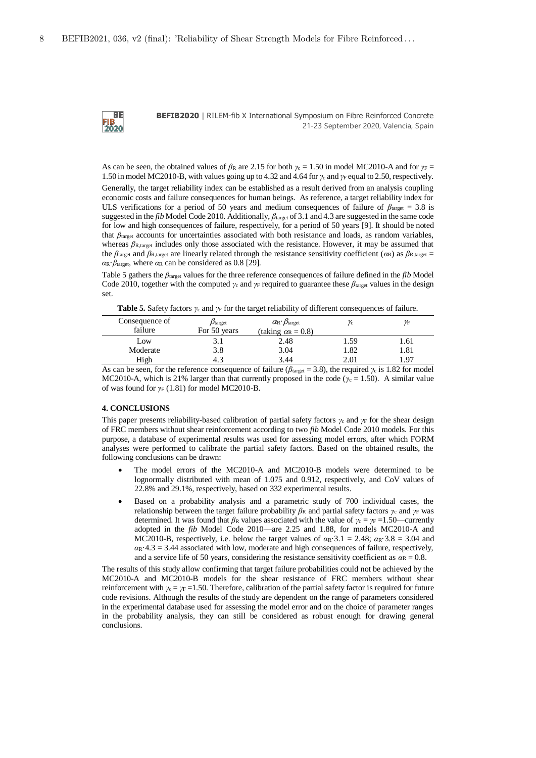**BE FIB**<br>2020

**BEFIB2020** | RILEM-fib X International Symposium on Fibre Reinforced Concrete 21-23 September 2020, Valencia, Spain

As can be seen, the obtained values of  $\beta_R$  are 2.15 for both  $\gamma_c = 1.50$  in model MC2010-A and for  $\gamma_F =$ 1.50 in model MC2010-B, with values going up to 4.32 and 4.64 for  $\gamma_c$  and  $\gamma_F$  equal to 2.50, respectively.

Generally, the target reliability index can be established as a result derived from an analysis coupling economic costs and failure consequences for human beings. As reference, a target reliability index for ULS verifications for a period of 50 years and medium consequences of failure of  $\beta_{\text{target}} = 3.8$  is suggested in the *fib* Model Code 2010. Additionally,  $\beta_{\text{target}}$  of 3.1 and 4.3 are suggested in the same code for low and high consequences of failure, respectively, for a period of 50 years [9]. It should be noted that  $\beta_{\text{target}}$  accounts for uncertainties associated with both resistance and loads, as random variables, whereas  $\beta_{\rm R, target}$  includes only those associated with the resistance. However, it may be assumed that the  $\beta_{\text{target}}$  and  $\beta_{\text{R,target}}$  are linearly related through the resistance sensitivity coefficient ( $\alpha$ R) as  $\beta_{\text{R,target}} =$ *α*R·*ȕ*target, where *α*R can be considered as 0.8 [29].

Table 5 gathers the  $\beta_{\text{target}}$  values for the three reference consequences of failure defined in the *fib* Model Code 2010, together with the computed  $\gamma_c$  and  $\gamma_F$  required to guarantee these  $\beta_{\text{target}}$  values in the design set.

**Table 5.** Safety factors  $\gamma_c$  and  $\gamma_F$  for the target reliability of different consequences of failure.

| Consequence of | $p_{\text{target}}$ | $\alpha_{\rm R} \cdot \beta_{\rm target}$ | γc   | ΥF   |
|----------------|---------------------|-------------------------------------------|------|------|
| failure        | For 50 years        | (taking $\alpha_{\rm R} = 0.8$ )          |      |      |
| Low            | I                   | 2.48                                      | 1.59 | 1.61 |
| Moderate       | 3.8                 | 3.04                                      | 1.82 | 1.81 |
| High           | 4.⊰                 | 3.44                                      | 2.01 | . 97 |

As can be seen, for the reference consequence of failure ( $\beta_{\text{target}} = 3.8$ ), the required  $\gamma_c$  is 1.82 for model MC2010-A, which is 21% larger than that currently proposed in the code ( $y_c = 1.50$ ). A similar value of was found for  $\gamma_F$  (1.81) for model MC2010-B.

#### **4. CONCLUSIONS**

This paper presents reliability-based calibration of partial safety factors  $\gamma_c$  and  $\gamma_F$  for the shear design of FRC members without shear reinforcement according to two *fib* Model Code 2010 models. For this purpose, a database of experimental results was used for assessing model errors, after which FORM analyses were performed to calibrate the partial safety factors. Based on the obtained results, the following conclusions can be drawn:

- The model errors of the MC2010-A and MC2010-B models were determined to be lognormally distributed with mean of 1.075 and 0.912, respectively, and CoV values of 22.8% and 29.1%, respectively, based on 332 experimental results.
- Based on a probability analysis and a parametric study of 700 individual cases, the relationship between the target failure probability  $\beta_R$  and partial safety factors  $\gamma_c$  and  $\gamma_F$  was determined. It was found that  $\beta_R$  values associated with the value of  $\gamma_c = \gamma_F = 1.50$ —currently adopted in the *fib* Model Code 2010—are 2.25 and 1.88, for models MC2010-A and MC2010-B, respectively, i.e. below the target values of  $\alpha_R \cdot 3.1 = 2.48$ ;  $\alpha_R \cdot 3.8 = 3.04$  and  $\alpha$ R·4.3 = 3.44 associated with low, moderate and high consequences of failure, respectively, and a service life of 50 years, considering the resistance sensitivity coefficient as  $\alpha_R = 0.8$ .

The results of this study allow confirming that target failure probabilities could not be achieved by the MC2010-A and MC2010-B models for the shear resistance of FRC members without shear reinforcement with  $\gamma_c = \gamma_F = 1.50$ . Therefore, calibration of the partial safety factor is required for future code revisions. Although the results of the study are dependent on the range of parameters considered in the experimental database used for assessing the model error and on the choice of parameter ranges in the probability analysis, they can still be considered as robust enough for drawing general conclusions.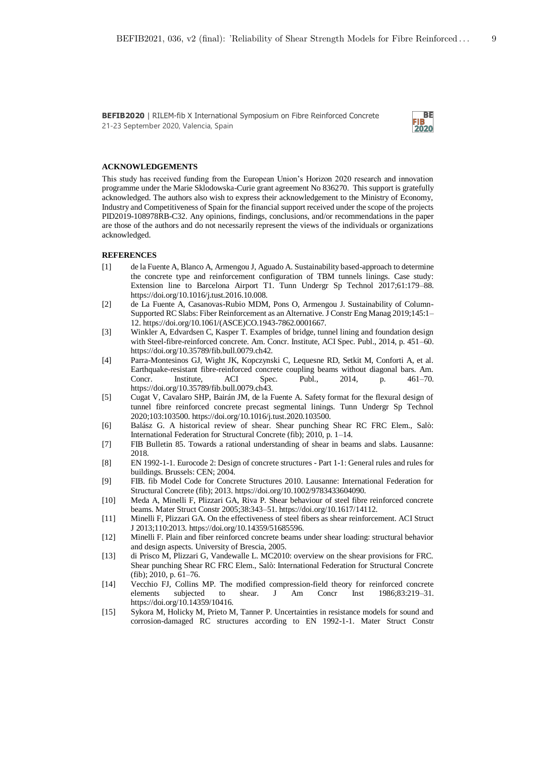

### **ACKNOWLEDGEMENTS**

This study has received funding from the European Union's Horizon 2020 research and innovation programme under the Marie Sklodowska-Curie grant agreement No 836270. This support is gratefully acknowledged. The authors also wish to express their acknowledgement to the Ministry of Economy, Industry and Competitiveness of Spain for the financial support received under the scope of the projects PID2019-108978RB-C32. Any opinions, findings, conclusions, and/or recommendations in the paper are those of the authors and do not necessarily represent the views of the individuals or organizations acknowledged.

### **REFERENCES**

- [1] de la Fuente A, Blanco A, Armengou J, Aguado A. Sustainability based-approach to determine the concrete type and reinforcement configuration of TBM tunnels linings. Case study: Extension line to Barcelona Airport T1. Tunn Undergr Sp Technol 2017;61:179–88. https://doi.org/10.1016/j.tust.2016.10.008.
- [2] de La Fuente A, Casanovas-Rubio MDM, Pons O, Armengou J. Sustainability of Column-Supported RC Slabs: Fiber Reinforcement as an Alternative. J Constr Eng Manag 2019;145:1– 12. https://doi.org/10.1061/(ASCE)CO.1943-7862.0001667.
- [3] Winkler A, Edvardsen C, Kasper T. Examples of bridge, tunnel lining and foundation design with Steel-fibre-reinforced concrete. Am. Concr. Institute, ACI Spec. Publ., 2014, p. 451–60. https://doi.org/10.35789/fib.bull.0079.ch42.
- [4] Parra-Montesinos GJ, Wight JK, Kopczynski C, Lequesne RD, Setkit M, Conforti A, et al. Earthquake-resistant fibre-reinforced concrete coupling beams without diagonal bars. Am. Concr. Institute, ACI Spec. Publ., 2014, p. 461–70. https://doi.org/10.35789/fib.bull.0079.ch43.
- [5] Cugat V, Cavalaro SHP, Bairán JM, de la Fuente A. Safety format for the flexural design of tunnel fibre reinforced concrete precast segmental linings. Tunn Undergr Sp Technol 2020;103:103500. https://doi.org/10.1016/j.tust.2020.103500.
- [6] Balász G. A historical review of shear. Shear punching Shear RC FRC Elem., Salò: International Federation for Structural Concrete (fib); 2010, p. 1–14.
- [7] FIB Bulletin 85. Towards a rational understanding of shear in beams and slabs. Lausanne: 2018.
- [8] EN 1992-1-1. Eurocode 2: Design of concrete structures Part 1-1: General rules and rules for buildings. Brussels: CEN; 2004.
- [9] FIB. fib Model Code for Concrete Structures 2010. Lausanne: International Federation for Structural Concrete (fib); 2013. https://doi.org/10.1002/9783433604090.
- [10] Meda A, Minelli F, Plizzari GA, Riva P. Shear behaviour of steel fibre reinforced concrete beams. Mater Struct Constr 2005;38:343–51. https://doi.org/10.1617/14112.
- [11] Minelli F, Plizzari GA. On the effectiveness of steel fibers as shear reinforcement. ACI Struct J 2013;110:2013. https://doi.org/10.14359/51685596.
- [12] Minelli F. Plain and fiber reinforced concrete beams under shear loading: structural behavior and design aspects. University of Brescia, 2005.
- [13] di Prisco M, Plizzari G, Vandewalle L. MC2010: overview on the shear provisions for FRC. Shear punching Shear RC FRC Elem., Salò: International Federation for Structural Concrete (fib); 2010, p. 61–76.
- [14] Vecchio FJ, Collins MP. The modified compression-field theory for reinforced concrete elements subjected to shear. J Am Concr Inst 1986;83:219–31. https://doi.org/10.14359/10416.
- [15] Sykora M, Holicky M, Prieto M, Tanner P. Uncertainties in resistance models for sound and corrosion-damaged RC structures according to EN 1992-1-1. Mater Struct Constr